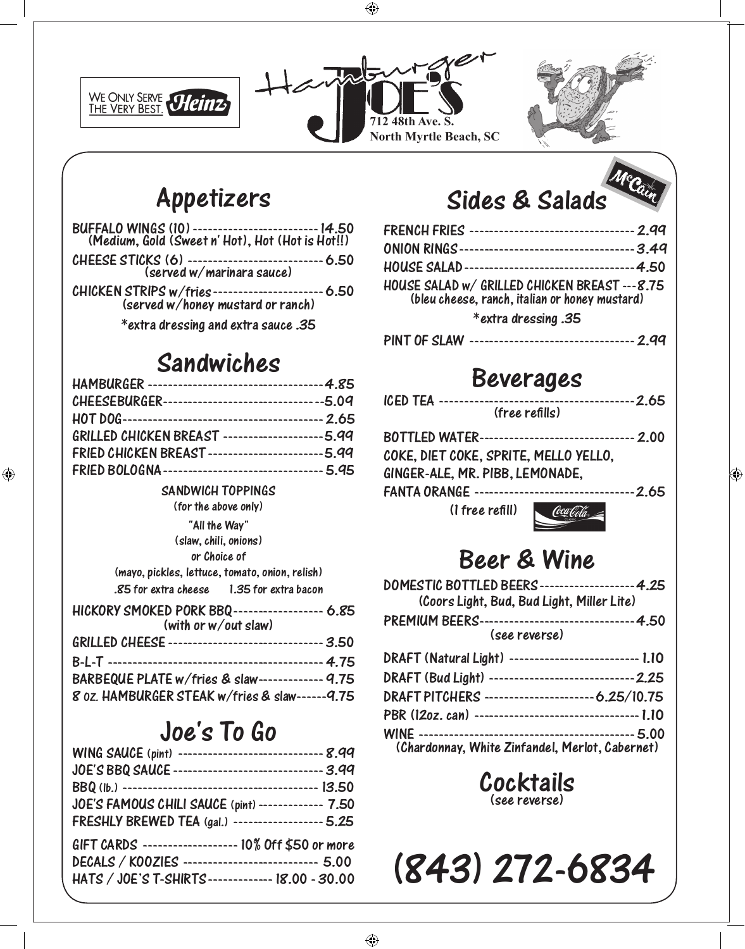





## Appetizers

| BUFFALO WINGS (10) --------------------------- 14.50<br>(Medium, Gold (Sweet n' Hot), Hot (Hot is Hot!!) |
|----------------------------------------------------------------------------------------------------------|
| CHEESE STICKS (6) ----------------------------- 6.50<br>(served w/marinara sauce)                        |
| $\ell$ lii $\ell$ KCN $\ell$ TDIDC $\ell$ /fuise $\ell$ (see ). A FO                                     |

Chicken STRIPS w/fries----------------------6.50

(served w/honey mustard or ranch) \*extra dressing and extra sauce .35

### Sandwiches

| CHEESEBURGER----------------------------------5.09   |  |
|------------------------------------------------------|--|
|                                                      |  |
| GRILLED CHICKEN BREAST ---------------------5.99     |  |
| FRIED CHICKEN BREAST ------------------------- 5.99  |  |
| FRIED BOLOGNA---------------------------------- 5.95 |  |

#### SANDWICH TOPPINGS SANDWICH TOPPINGS

 $\frac{1}{2}$  (for the above only)

| "All the Way"                  |
|--------------------------------|
| (slaw. chili. onions)          |
| or Choice of                   |
| مقدينته بريته<br>$\sim$ $\sim$ |

| (mayo, pickles, lettuce, tomato, onion, relish) |                      |
|-------------------------------------------------|----------------------|
| .85 for extra cheese                            | 1.35 for extra bacon |

| HICKORY SMOKED PORK BBQ------------------- 6.85       |
|-------------------------------------------------------|
| (with or w/out slaw)                                  |
| GRILLED CHEESE --------------------------------- 3.50 |
|                                                       |
| BARBEQUE PLATE w/fries & slaw------------- 9.75       |
| 8 oz. HAMBURGER STEAK w/fries & slaw------ 9.75       |
|                                                       |

### Joe's To Go

| WING SAUCE (pint) ------------------------------- 8.99 |  |
|--------------------------------------------------------|--|
| JOE'S BBQ SAUCE ------------------------------- 3.99   |  |
|                                                        |  |
| JOE'S FAMOUS CHILI SAUCE (pint) ------------- 7.50     |  |
| FRESHLY BREWED TEA (gal.) ------------------- 5.25     |  |
| GIFT CARDS ------------------- 10% Off \$50 or more    |  |
| DECALS / KOOZIES ----------------------------- 5.00    |  |
| HATS / JOE'S T-SHIRTS-------------- 18.00 - 30.00      |  |
|                                                        |  |

# Sides & Salads

| FRENCH FRIES ---------------------------------- 2.99                                             |  |
|--------------------------------------------------------------------------------------------------|--|
|                                                                                                  |  |
|                                                                                                  |  |
| HOUSE SALAD w/ GRILLED CHICKEN BREAST --- 8.75<br>(bleu cheese, ranch, italian or honey mustard) |  |
| *extra dressing .35                                                                              |  |
| PINT OF SLAW ---------------------------------- 2.99                                             |  |

### Beverages

|  | (free refills) |
|--|----------------|
|  |                |

|                                       | BOTTLED WATER-------------------------------- 2.00      |
|---------------------------------------|---------------------------------------------------------|
| COKE, DIET COKE, SPRITE, MELLO YELLO, |                                                         |
| GINGER-ALE, MR. PIBB, LEMONADE.       |                                                         |
|                                       | FANTA ORANGE --------------------------------- 2.65     |
|                                       | $\lim_{\epsilon \to 0}$ rafill) $\lim_{\epsilon \to 0}$ |

(1 free refill)



### Beer & Wine

| DOMESTIC BOTTLED BEERS--------------------4.25<br>(Coors Light, Bud, Bud Light, Miller Lite) |  |
|----------------------------------------------------------------------------------------------|--|
| PREMIUM BEERS--------------------------------4.50<br>(see reverse)                           |  |
| DRAFT (Natural Light) --------------------------- 1.10                                       |  |
| DRAFT (Bud Light) ------------------------------2.25                                         |  |
| DRAFT PITCHERS ----------------------- 6.25/10.75                                            |  |
| PBR (120z. can) ----------------------------------- 1.10                                     |  |
| Objection on 14th its Timbered of Montage Oak county                                         |  |

wing<br>(Chardonnay. White Zinfandel. Merlot. Cabernet) (Chardonnay, White Zinfandel, Merlot, Cabernet)

Cocktails (see reverse)

(843) 272-6834